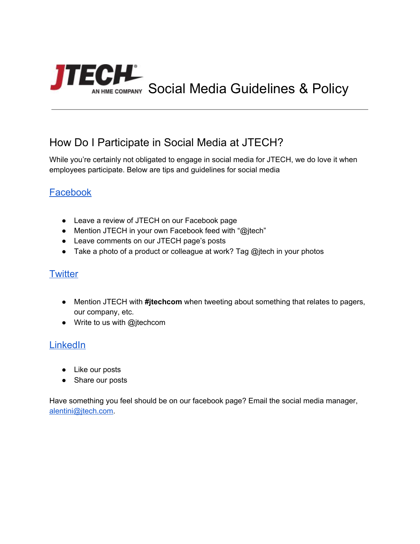

## How Do I Participate in Social Media at JTECH?

While you're certainly not obligated to engage in social media for JTECH, we do love it when employees participate. Below are tips and guidelines for social media

## [Facebook](https://www.facebook.com/JTECHinc/)

- Leave a review of JTECH on our Facebook page
- Mention JTECH in your own Facebook feed with "@jtech"
- Leave comments on our JTECH page's posts
- Take a photo of a product or colleague at work? Tag @jtech in your photos

#### **[Twitter](https://twitter.com/jtechcom)**

- Mention JTECH with **#jtechcom** when tweeting about something that relates to pagers, our company, etc.
- Write to us with @jtechcom

### **[LinkedIn](https://www.linkedin.com/company/jtech-communications-inc-)**

- Like our posts
- Share our posts

Have something you feel should be on our facebook page? Email the social media manager, [alentini@jtech.com.](mailto:alentini@jtech.com)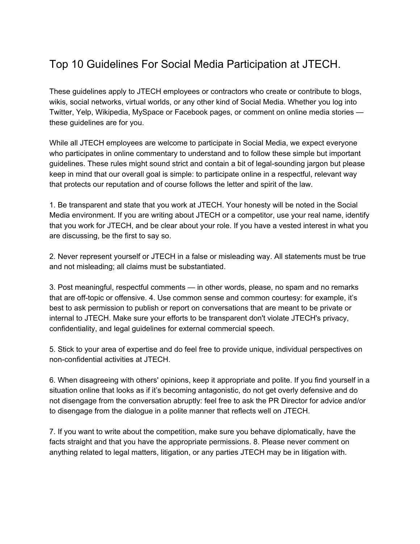# Top 10 Guidelines For Social Media Participation at JTECH.

These guidelines apply to JTECH employees or contractors who create or contribute to blogs, wikis, social networks, virtual worlds, or any other kind of Social Media. Whether you log into Twitter, Yelp, Wikipedia, MySpace or Facebook pages, or comment on online media stories these guidelines are for you.

While all JTECH employees are welcome to participate in Social Media, we expect everyone who participates in online commentary to understand and to follow these simple but important guidelines. These rules might sound strict and contain a bit of legal-sounding jargon but please keep in mind that our overall goal is simple: to participate online in a respectful, relevant way that protects our reputation and of course follows the letter and spirit of the law.

1. Be transparent and state that you work at JTECH. Your honesty will be noted in the Social Media environment. If you are writing about JTECH or a competitor, use your real name, identify that you work for JTECH, and be clear about your role. If you have a vested interest in what you are discussing, be the first to say so.

2. Never represent yourself or JTECH in a false or misleading way. All statements must be true and not misleading; all claims must be substantiated.

3. Post meaningful, respectful comments — in other words, please, no spam and no remarks that are off-topic or offensive. 4. Use common sense and common courtesy: for example, it's best to ask permission to publish or report on conversations that are meant to be private or internal to JTECH. Make sure your efforts to be transparent don't violate JTECH's privacy, confidentiality, and legal guidelines for external commercial speech.

5. Stick to your area of expertise and do feel free to provide unique, individual perspectives on non-confidential activities at JTECH.

6. When disagreeing with others' opinions, keep it appropriate and polite. If you find yourself in a situation online that looks as if it's becoming antagonistic, do not get overly defensive and do not disengage from the conversation abruptly: feel free to ask the PR Director for advice and/or to disengage from the dialogue in a polite manner that reflects well on JTECH.

7. If you want to write about the competition, make sure you behave diplomatically, have the facts straight and that you have the appropriate permissions. 8. Please never comment on anything related to legal matters, litigation, or any parties JTECH may be in litigation with.